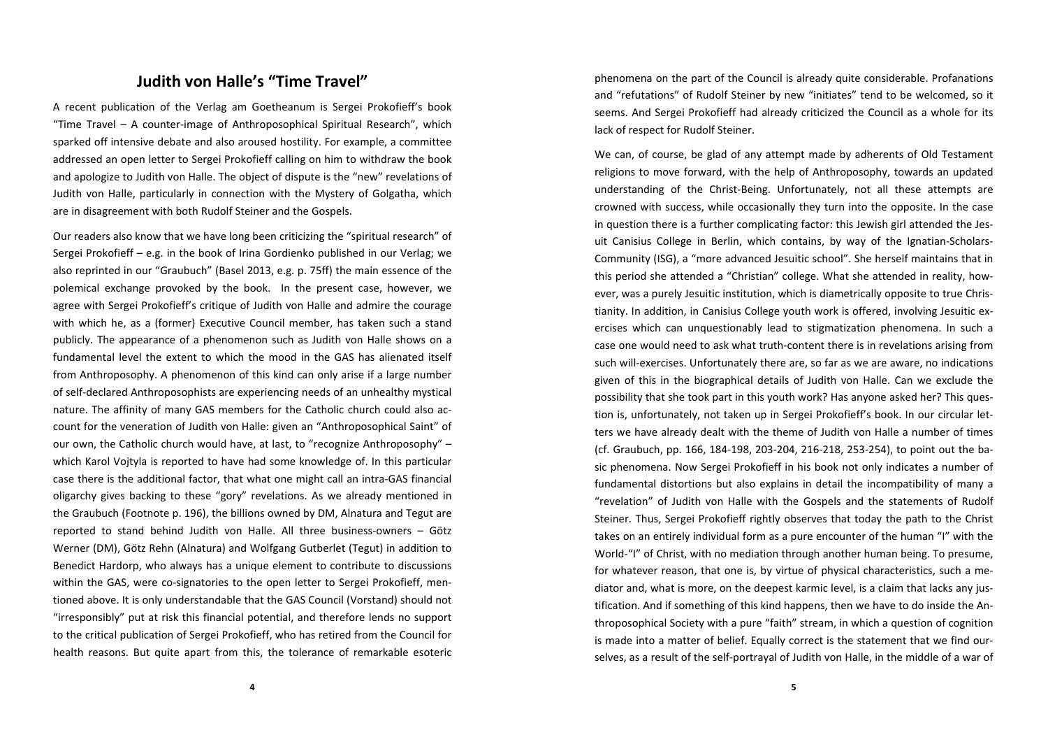## **Judith von Halle's "Time Travel"**

A recent publication of the Verlag am Goetheanum is Sergei Prokofieff's book "Time Travel –A counter‐image of Anthroposophical Spiritual Research", which sparked off intensive debate and also aroused hostility. For example, <sup>a</sup> committee addressed an open letter to Sergei Prokofieff calling on him to withdraw the book and apologize to Judith von Halle. The object of dispute is the "new" revelations of Judith von Halle, particularly in connection with the Mystery of Golgatha, which are in disagreement with both Rudolf Steiner and the Gospels.

Our readers also know that we have long been criticizing the "spiritual research" of Sergei Prokofieff – e.g. in the book of Irina Gordienko published in our Verlag; we also reprinted in our "Graubuch" (Basel 2013, e.g. p. 75ff) the main essence of the polemical exchange provoked by the book. In the present case, however, we agree with Sergei Prokofieff's critique of Judith von Halle and admire the courage with which he, as <sup>a</sup> (former) Executive Council member, has taken such <sup>a</sup> stand publicly. The appearance of <sup>a</sup> phenomenon such as Judith von Halle shows on <sup>a</sup> fundamental level the extent to which the mood in the GAS has alienated itself from Anthroposophy. A phenomenon of this kind can only arise if a large number of self‐declared Anthroposophists are experiencing needs of an unhealthy mystical nature. The affinity of many GAS members for the Catholic church could also ac‐ count for the veneration of Judith von Halle: given an "Anthroposophical Saint" of our own, the Catholic church would have, at last, to "recognize Anthroposophy" which Karol Vojtyla is reported to have had some knowledge of. In this particular case there is the additional factor, that what one might call an intra‐GAS financial oligarchy gives backing to these "gory" revelations. As we already mentioned in the Graubuch (Footnote p. 196), the billions owned by DM, Alnatura and Tegut are reported to stand behind Judith von Halle. All three business-owners – Götz Werner (DM), Götz Rehn (Alnatura) and Wolfgang Gutberlet (Tegut) in addition to Benedict Hardorp, who always has <sup>a</sup> unique element to contribute to discussions within the GAS, were co‐signatories to the open letter to Sergei Prokofieff, men‐ tioned above. It is only understandable that the GAS Council (Vorstand) should not "irresponsibly" put at risk this financial potential, and therefore lends no support to the critical publication of Sergei Prokofieff, who has retired from the Council for health reasons. But quite apart from this, the tolerance of remarkable esoteric

phenomena on the part of the Council is already quite considerable. Profanations and "refutations" of Rudolf Steiner by new "initiates" tend to be welcomed, so it seems. And Sergei Prokofieff had already criticized the Council as <sup>a</sup> whole for its lack of respect for Rudolf Steiner.

We can, of course, be glad of any attempt made by adherents of Old Testament religions to move forward, with the help of Anthroposophy, towards an updated understanding of the Christ‐Being. Unfortunately, not all these attempts are crowned with success, while occasionally they turn into the opposite. In the case in question there is <sup>a</sup> further complicating factor: this Jewish girl attended the Jes‐ uit Canisius College in Berlin, which contains, by way of the Ignatian‐Scholars‐ Community (ISG), <sup>a</sup> "more advanced Jesuitic school". She herself maintains that in this period she attended <sup>a</sup> "Christian" college. What she attended in reality, how‐ ever, was <sup>a</sup> purely Jesuitic institution, which is diametrically opposite to true Chris‐ tianity. In addition, in Canisius College youth work is offered, involving Jesuitic ex‐ ercises which can unquestionably lead to stigmatization phenomena. In such <sup>a</sup> case one would need to ask what truth‐content there is in revelations arising from such will‐exercises. Unfortunately there are, so far as we are aware, no indications given of this in the biographical details of Judith von Halle. Can we exclude the possibility that she took part in this youth work? Has anyone asked her? This ques‐ tion is, unfortunately, not taken up in Sergei Prokofieff's book. In our circular let‐ ters we have already dealt with the theme of Judith von Halle <sup>a</sup> number of times (cf. Graubuch, pp. 166, 184‐198, 203‐204, 216‐218, 253‐254), to point out the ba‐ sic phenomena. Now Sergei Prokofieff in his book not only indicates <sup>a</sup> number of fundamental distortions but also explains in detail the incompatibility of many <sup>a</sup> "revelation" of Judith von Halle with the Gospels and the statements of Rudolf Steiner. Thus, Sergei Prokofieff rightly observes that today the path to the Christ takes on an entirely individual form as <sup>a</sup> pure encounter of the human "I" with the World‐"I" of Christ, with no mediation through another human being. To presume, for whatever reason, that one is, by virtue of physical characteristics, such <sup>a</sup> me‐ diator and, what is more, on the deepest karmic level, is <sup>a</sup> claim that lacks any jus‐ tification. And if something of this kind happens, then we have to do inside the An‐ throposophical Society with <sup>a</sup> pure "faith" stream, in which <sup>a</sup> question of cognition is made into <sup>a</sup> matter of belief. Equally correct is the statement that we find our‐ selves, as <sup>a</sup> result of the self‐portrayal of Judith von Halle, in the middle of <sup>a</sup> war of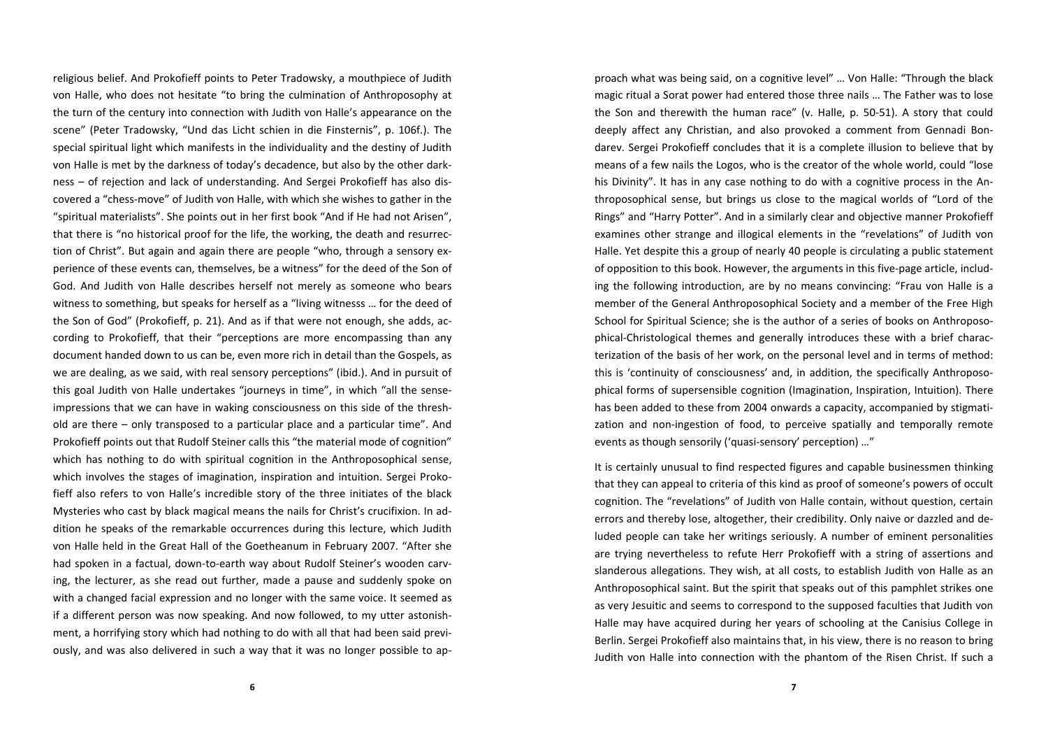religious belief. And Prokofieff points to Peter Tradowsky, <sup>a</sup> mouthpiece of Judith von Halle, who does not hesitate "to bring the culmination of Anthroposophy at the turn of the century into connection with Judith von Halle's appearance on the scene" (Peter Tradowsky, "Und das Licht schien in die Finsternis", p. 106f.). The special spiritual light which manifests in the individuality and the destiny of Judith von Halle is met by the darkness of today's decadence, but also by the other dark‐ ness – of rejection and lack of understanding. And Sergei Prokofieff has also dis‐ covered <sup>a</sup> "chess‐move" of Judith von Halle, with which she wishes to gather in the "spiritual materialists". She points out in her first book "And if He had not Arisen", that there is "no historical proof for the life, the working, the death and resurrec‐ tion of Christ". But again and again there are people "who, through <sup>a</sup> sensory ex‐ perience of these events can, themselves, be <sup>a</sup> witness" for the deed of the Son of God. And Judith von Halle describes herself not merely as someone who bears witness to something, but speaks for herself as <sup>a</sup> "living witnesss … for the deed of the Son of God" (Prokofieff, p. 21). And as if that were not enough, she adds, ac‐ cording to Prokofieff, that their "perceptions are more encompassing than any document handed down to us can be, even more rich in detail than the Gospels, as we are dealing, as we said, with real sensory perceptions" (ibid.). And in pursuit of this goal Judith von Halle undertakes "journeys in time", in which "all the sense‐ impressions that we can have in waking consciousness on this side of the threshold are there – only transposed to <sup>a</sup> particular place and <sup>a</sup> particular time". And Prokofieff points out that Rudolf Steiner calls this "the material mode of cognition" which has nothing to do with spiritual cognition in the Anthroposophical sense, which involves the stages of imagination, inspiration and intuition. Sergei Proko‐ fieff also refers to von Halle's incredible story of the three initiates of the black Mysteries who cast by black magical means the nails for Christ's crucifixion. In ad‐ dition he speaks of the remarkable occurrences during this lecture, which Judith von Halle held in the Great Hall of the Goetheanum in February 2007. "After she had spoken in <sup>a</sup> factual, down‐to‐earth way about Rudolf Steiner's wooden carv‐ ing, the lecturer, as she read out further, made <sup>a</sup> pause and suddenly spoke on with <sup>a</sup> changed facial expression and no longer with the same voice. It seemed as if a different person was now speaking. And now followed, to my utter astonish‐ ment, a horrifying story which had nothing to do with all that had been said previously, and was also delivered in such <sup>a</sup> way that it was no longer possible to ap‐

proach what was being said, on <sup>a</sup> cognitive level" … Von Halle: "Through the black magic ritual <sup>a</sup> Sorat power had entered those three nails … The Father was to lose the Son and therewith the human race" (v. Halle, p. 50‐51). A story that could deeply affect any Christian, and also provoked <sup>a</sup> comment from Gennadi Bon‐ darev. Sergei Prokofieff concludes that it is <sup>a</sup> complete illusion to believe that by means of <sup>a</sup> few nails the Logos, who is the creator of the whole world, could "lose his Divinity". It has in any case nothing to do with <sup>a</sup> cognitive process in the An‐ throposophical sense, but brings us close to the magical worlds of "Lord of the Rings" and "Harry Potter". And in <sup>a</sup> similarly clear and objective manner Prokofieff examines other strange and illogical elements in the "revelations" of Judith von Halle. Yet despite this <sup>a</sup> group of nearly 40 people is circulating <sup>a</sup> public statement of opposition to this book. However, the arguments in this five‐page article, includ‐ ing the following introduction, are by no means convincing: "Frau von Halle is <sup>a</sup> member of the General Anthroposophical Society and <sup>a</sup> member of the Free High School for Spiritual Science; she is the author of <sup>a</sup> series of books on Anthroposo‐ phical‐Christological themes and generally introduces these with <sup>a</sup> brief charac‐ terization of the basis of her work, on the personal level and in terms of method: this is 'continuity of consciousness' and, in addition, the specifically Anthroposo‐ phical forms of supersensible cognition (Imagination, Inspiration, Intuition). There has been added to these from 2004 onwards <sup>a</sup> capacity, accompanied by stigmati‐ zation and non‐ingestion of food, to perceive spatially and temporally remote events as though sensorily ('quasi‐sensory' perception) …"

It is certainly unusual to find respected figures and capable businessmen thinking that they can appeal to criteria of this kind as proof of someone's powers of occult cognition. The "revelations" of Judith von Halle contain, without question, certain errors and thereby lose, altogether, their credibility. Only naive or dazzled and de‐ luded people can take her writings seriously. A number of eminent personalities are trying nevertheless to refute Herr Prokofieff with <sup>a</sup> string of assertions and slanderous allegations. They wish, at all costs, to establish Judith von Halle as an Anthroposophical saint. But the spirit that speaks out of this pamphlet strikes one as very Jesuitic and seems to correspond to the supposed faculties that Judith von Halle may have acquired during her years of schooling at the Canisius College in Berlin. Sergei Prokofieff also maintains that, in his view, there is no reason to bring Judith von Halle into connection with the phantom of the Risen Christ. If such <sup>a</sup>